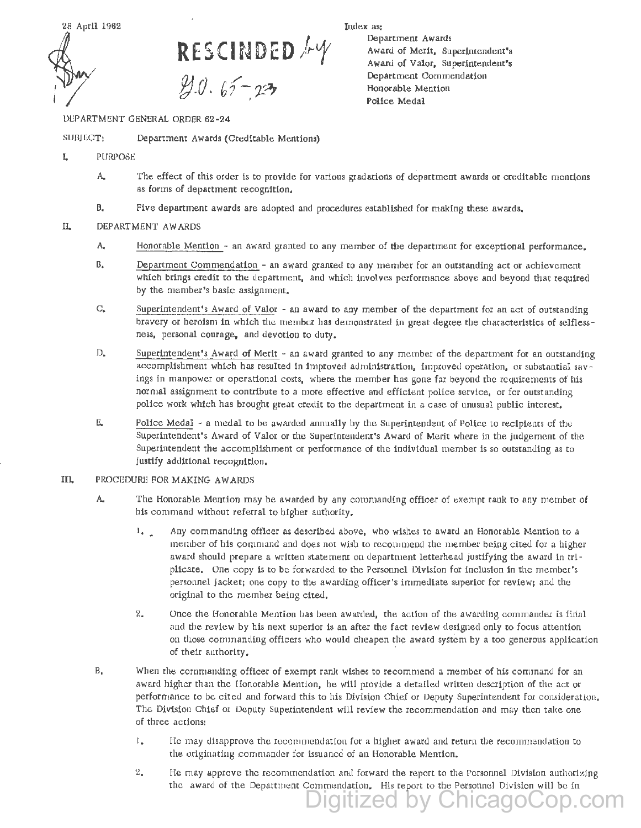

**RESCINDED** / y *8).0.* bf~ ?21

DcPARTMENT GENERAL ORDER 62-24

SUBJGCT: Department Awards (Creditable Mentions)

- L PURPOSE
	- A. The effect of this order is to provide for various gradations of department awards or creditable mentions as forms of department recognition,
	- B. Five department awards are adopted and procedures established for making these awards.

## IL DEPARTMENT AWARDS

- A. Honorable Mention an award granted to any member of the department for exceptional performance.
- B. Department Commendation an award granted to any member for an outstanding act or achievement which brings credit to the department, and which involves performance above and beyond that required by the member's basic assignment.
- c. Superintendent's Award of Valor an award to any member of the department for an act of outstanding bravery or heroism in which the member has demonstrated in great degree the characteristics of selflessness, personal courage, and devotion to duty.
- D. Superintendent's Award of Merit an award granted to any member of the department for an outstanding accomplishment which has resulted in improved administration, improved operation, or substantial savings in manpower or operational costs, where the member has gone fat beyond the requirements of his normal assignment to contribute to a more effective and efficient police service, or for outstanding police work which has brought great credit to the department in a case of unusual public interest,
- E. Police Medal a medal to be awarded annually by the Superintendent of Police to recipients of the Superintendent's Award of Valor or the Superintendent's Award of Merit where in the judgement of the Sµperintendent the accomplishment or performance of the individual member is so outstanding as to justify additional recognition.
- IIL PROCEDURE FOR MAKING AW ARDS
	- A. The Honorable Mention may be awarded by any commanding officer of exempt rank to any member of his command without referral to higher authority.
		- 1. Any commanding officer as described above, who wishes to award an Honorable Mention to a member of his command and does not wish to recommend the member being cited for a higher award should prepare a written statement on department letterhead justifying the award in triplicate. One copy is to be forwarded to the Personnel Division for inclusion in the member's personnel jacket; one copy to the awarding officer's immediate superior for review; and the original to the member being cited.
		- 2. Once the Honorable Mention has been awarded, the action of the awarding commander is firtal and the review by his next superior is an after the fact review designed only to focus attention on those commanding officers who would cheapen the award system by a too generous application of their authority.
	- B. When the commanding officer of exempt rank wishes to recommend a member of his command for an award higher than the Honorable Mention, he w111 provide a detailed written description of the act or performance to be cited and forward this to his Division Chief or Deputy Superintendent for consideration. The Division Chief or Deputy Superintendent will review the recommendation and may then take one of three actions:
		- 1. He may disapprove the recommendation for a higher award and return the recommendation to the originating commander for issuance of an Honorable Mention.
		- 2. He may approve the recommendation and forward the report to the Personnel Division authorizing the award of the Department Commendation. His report to the Personnel Division will be in

qitized by Chicago

Index as:

Department Awards Award of Merit, Superintendent's Award of Valor, Superintendent's Department Commendation Honorable Mention Police Medal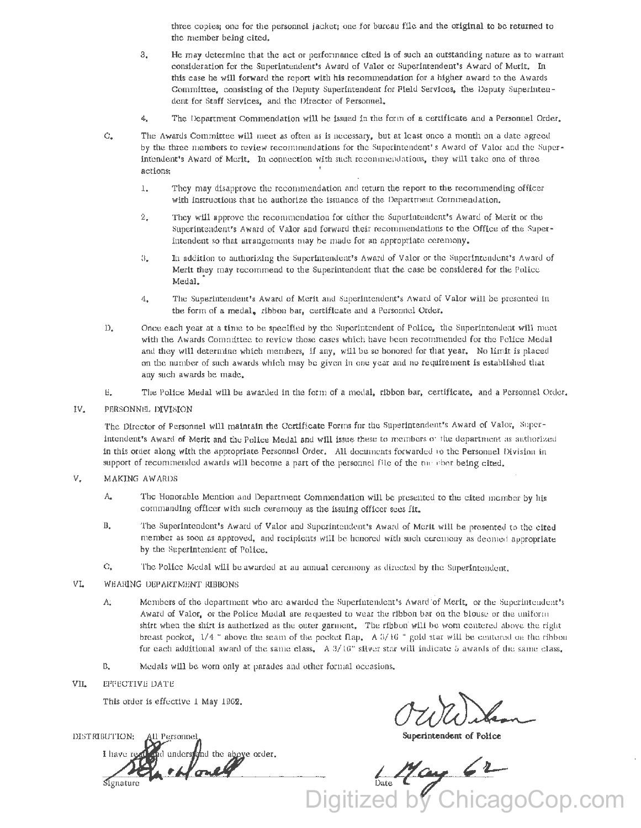three copies; one for the personnel jacket; one for bureau file and the original to be returned to the member being cited,

- 3. He may determine that the act or performance cited is of such an outstanding nature as to warrant consideration for the Superintendent's Award of Valor or Superintendent's Award of Merit, In this case he will forward the report with his recommendation for a higher award to the Awards Committee, consisting of the Deputy Superintendent for Field Services, the Deputy Superintendent for Staff Services, and the Director of Personnel,
- $4.$  The Department Commendation will be issued in the form of a certificate and a Personnel Order.
- $C<sub>s</sub>$  The Awards Committee will meet as often as is necessary, but at least once a month on a date agreed by the three members to review recommendations for the Superintendent's Award of Valor and the Superintendent's Award of Merit. In connection with such recommendations, they will take one of three actions:
	- l, They may disapprove the recommendation and return the report to the recommending officer with instructions that he authorize the issuance of the Department Commendation,
	- 2, They will approve the recommendation for either the Superintendent's Award of Merit or the Superintendent's Award of Valor and forward their recommendations to the Office of the Superintendent so that arrangements may be made for an appropriate ceremony.
	- 3. In addition to authorizing the Superintendent's Award of Valor or the Superintendent's Award of Merit they may recommend to the Superintendent that the case be considered for the Police Medal.
	- 4, The Superintendent's Award of Merit and Superintendent's Award of Valor will be presented in the form of a medal. ribbon bar, certificate and a Personnel Order,
- D. Once each year at a time to be specified by the Superintendent of Police, the Superintendent will meet with the Awards Committee to review those cases which have been recommended for the Police Medal and they w111 determine which members, if any, will be so honored for that year, No limit is placed on the number of such awards which may be given in one year and no requirement is established that any such awards be made.
- E. Tile Police Medal will be awarded in the form of a medal, ribbon bar, certificate, and a Personnel Order,
- IV, PERSONNEL DIVISION

The Director of Personnel will maintain the Certificate Forms for the Superintendent's Award of Valor, Superintendent's Award of Merit and the Police Medal and will issue these to members of cite department as authorized in this order along with the appropriate Personnel Order. All documents forwarded to the Personnel Division in support of recommended awards will become a part of the personnel file of the me. ther being cited,

- V, MAKING AWARDS
	- A. The Honorable Mention and Department Commendation will be presented to the cited member by his commanding officer with such ceremony as the issuing officer sees fit.
	- B. The Superintendent's Award of Valor and Superintendent's Award of Merit will be presented to the cited member as soon as approved, and recipients will be honored with such ceremony as deemed appropriate by the Superintendent of Police,
	- C, The Police Medal will be awarded at an annual ceremony as directed by the Superintendent,
- VI. WEARING DEPARTMENT RIBBONS
	- A; Members of the department who are awarded the Superintendent's Award of Merit, or the Superintendent's Award of Valor, or the Police Medal are requested to wear the ribbon bar on the blouse or the uniform shirt when the shirt is authorized as the outer garment. The ribbon' will be worn centered above the right breast pocket,  $1/4$  " above the seam of the pocket flap. A  $3/16$  " gold star will be centered on the ribbon for each additional award of the same class. A  $3/16$ " silver star will indicate 5 awards of the same class,
	- B. Medals will be worn only at parades and other formal occasions.
- VIL EFFECTIVE DATE

I have red

This order is effective 1 May 1962.

DISTRIBUTION: All Personnel. **Container and Superintendent of Police of Police of Police of Police of Police of Police of Police of Police of Police of Police of Police of Police of Police of** 

e order.